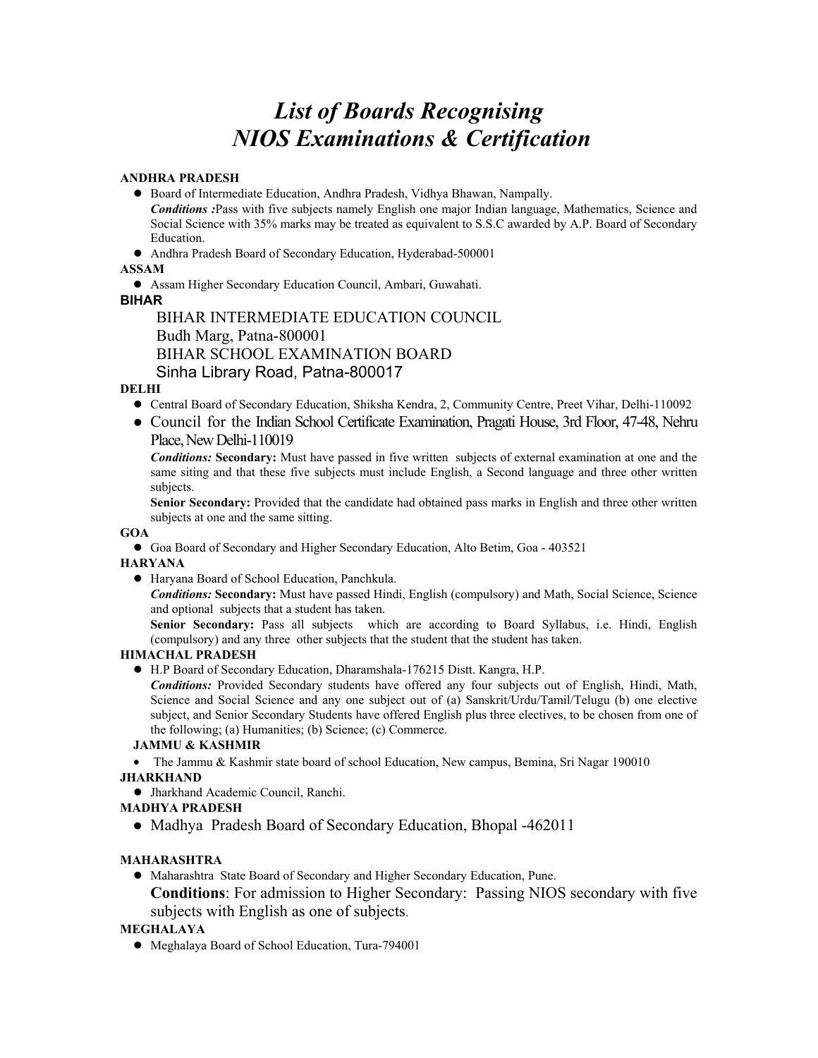# *List of Boards Recognising NIOS Examinations & Certification*

#### **ANDHRA PRADESH**

• Board of Intermediate Education, Andhra Pradesh, Vidhya Bhawan, Nampally.

 *Conditions :*Pass with five subjects namely English one major Indian language, Mathematics, Science and Social Science with 35% marks may be treated as equivalent to S.S.C awarded by A.P. Board of Secondary Education.

• Andhra Pradesh Board of Secondary Education, Hyderabad-500001

## **ASSAM**

• Assam Higher Secondary Education Council, Ambari, Guwahati.

## **BIHAR**

 BIHAR INTERMEDIATE EDUCATION COUNCIL Budh Marg, Patna-800001 BIHAR SCHOOL EXAMINATION BOARD Sinha Library Road, Patna-800017

# **DELHI**

- z Central Board of Secondary Education, Shiksha Kendra, 2, Community Centre, Preet Vihar, Delhi-110092
- Council for the Indian School Certificate Examination, Pragati House, 3rd Floor, 47-48, Nehru Place, New Delhi-110019

 *Conditions:* **Secondary:** Must have passed in five written subjects of external examination at one and the same siting and that these five subjects must include English, a Second language and three other written subjects.

 **Senior Secondary:** Provided that the candidate had obtained pass marks in English and three other written subjects at one and the same sitting.

#### **GOA**

• Goa Board of Secondary and Higher Secondary Education, Alto Betim, Goa - 403521

#### **HARYANA**

z Haryana Board of School Education, Panchkula.

 *Conditions:* **Secondary:** Must have passed Hindi, English (compulsory) and Math, Social Science, Science and optional subjects that a student has taken.

 **Senior Secondary:** Pass all subjects which are according to Board Syllabus, i.e. Hindi, English (compulsory) and any three other subjects that the student that the student has taken.

# **HIMACHAL PRADESH**

z H.P Board of Secondary Education, Dharamshala-176215 Distt. Kangra, H.P.

 *Conditions:* Provided Secondary students have offered any four subjects out of English, Hindi, Math, Science and Social Science and any one subject out of (a) Sanskrit/Urdu/Tamil/Telugu (b) one elective subject, and Senior Secondary Students have offered English plus three electives, to be chosen from one of the following; (a) Humanities; (b) Science; (c) Commerce.

#### **JAMMU & KASHMIR**

• The Jammu & Kashmir state board of school Education, New campus, Bemina, Sri Nagar 190010 **JHARKHAND** 

 $\bullet$  Jharkhand Academic Council, Ranchi.

# **MADHYA PRADESH**

• Madhya Pradesh Board of Secondary Education, Bhopal -462011

# **MAHARASHTRA**

- Maharashtra State Board of Secondary and Higher Secondary Education, Pune.
	- **Conditions**: For admission to Higher Secondary: Passing NIOS secondary with five subjects with English as one of subjects.

# **MEGHALAYA**

• Meghalaya Board of School Education, Tura-794001